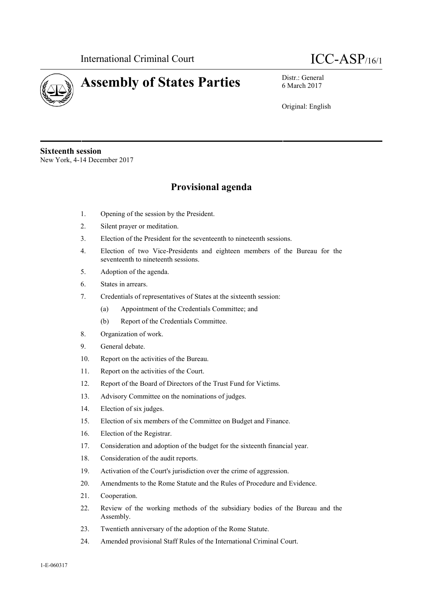



6 March 2017

Original: English

**Sixteenth session** New York, 4-14 December 2017

## **Provisional agenda**

- 1. Opening of the session by the President.
- 2. Silent prayer or meditation.
- 3. Election of the President for the seventeenth to nineteenth sessions.
- 4. Election of two Vice-Presidents and eighteen members of the Bureau for the seventeenth to nineteenth sessions.
- 5. Adoption of the agenda.
- 6. States in arrears.
- 7. Credentials of representatives of States at the sixteenth session:
	- (a) Appointment of the Credentials Committee; and
	- (b) Report of the Credentials Committee.
- 8. Organization of work.
- 9. General debate.
- 10. Report on the activities of the Bureau.
- 11. Report on the activities of the Court.
- 12. Report of the Board of Directors of the Trust Fund for Victims.
- 13. Advisory Committee on the nominations of judges.
- 14. Election of six judges.
- 15. Election of six members of the Committee on Budget and Finance.
- 16. Election of the Registrar.
- 17. Consideration and adoption of the budget for the sixteenth financial year.
- 18. Consideration of the audit reports.
- 19. Activation of the Court's jurisdiction over the crime of aggression.
- 20. Amendments to the Rome Statute and the Rules of Procedure and Evidence.
- 21. Cooperation.
- 22. Review of the working methods of the subsidiary bodies of the Bureau and the Assembly.
- 23. Twentieth anniversary of the adoption of the Rome Statute.
- 24. Amended provisional Staff Rules of the International Criminal Court.